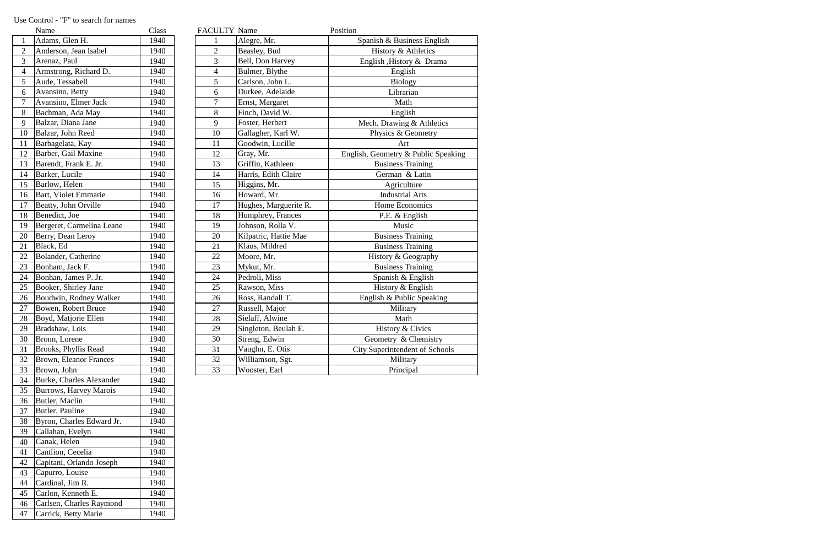| Name            |                               | Class | <b>FACULTY Name</b>      |                       | Position                              |
|-----------------|-------------------------------|-------|--------------------------|-----------------------|---------------------------------------|
| $\mathbf{1}$    | Adams, Glen H.                | 1940  |                          | Alegre, Mr.           | Spanish & Business English            |
| $\overline{2}$  | Anderson, Jean Isabel         | 1940  | $\overline{2}$           | Beasley, Bud          | History & Athletics                   |
| 3               | Arenaz, Paul                  | 1940  | 3                        | Bell, Don Harvey      | English , History & Drama             |
| $\overline{4}$  | Armstrong, Richard D.         | 1940  | $\overline{\mathcal{L}}$ | Bulmer, Blythe        | English                               |
| 5               | Aude, Tessabell               | 1940  | 5                        | Carlson, John L.      | <b>Biology</b>                        |
| 6               | Avansino, Betty               | 1940  | 6                        | Durkee, Adelaide      | Librarian                             |
| $\overline{7}$  | Avansino, Elmer Jack          | 1940  | $\overline{7}$           | Ernst, Margaret       | Math                                  |
| 8               | Bachman, Ada May              | 1940  | 8                        | Finch, David W.       | English                               |
| 9               | Balzar, Diana Jane            | 1940  | 9                        | Foster, Herbert       | Mech. Drawing & Athletics             |
| 10              | Balzar, John Reed             | 1940  | 10                       | Gallagher, Karl W.    | Physics & Geometry                    |
| 11              | Barbagelata, Kay              | 1940  | 11                       | Goodwin, Lucille      | Art                                   |
| 12              | Barber, Gail Maxine           | 1940  | 12                       | Gray, Mr.             | English, Geometry & Public Speaking   |
| 13              | Barendt, Frank E. Jr.         | 1940  | 13                       | Griffin, Kathleen     | <b>Business Training</b>              |
| $\overline{14}$ | Barker, Lucile                | 1940  | 14                       | Harris, Edith Claire  | German & Latin                        |
| 15              | Barlow, Helen                 | 1940  | 15                       | Higgins, Mr.          | Agriculture                           |
| 16              | <b>Bart, Violet Emmarie</b>   | 1940  | 16                       | Howard, Mr.           | <b>Industrial Arts</b>                |
| 17              | Beatty, John Orville          | 1940  | 17                       | Hughes, Marguerite R. | Home Economics                        |
| 18              | Benedict, Joe                 | 1940  | 18                       | Humphrey, Frances     | P.E. & English                        |
| 19              | Bergeret, Carmelina Leane     | 1940  | 19                       | Johnson, Rolla V.     | Music                                 |
| 20              | Berry, Dean Leroy             | 1940  | 20                       | Kilpatric, Hattie Mae | <b>Business Training</b>              |
| 21              | Black, Ed                     | 1940  | 21                       | Klaus, Mildred        | <b>Business Training</b>              |
| 22              | Bolander, Catherine           | 1940  | 22                       | Moore, Mr.            | History & Geography                   |
| 23              | Bonham, Jack F.               | 1940  | 23                       | Mykut, Mr.            | <b>Business Training</b>              |
| $\overline{24}$ | Bonhan, James P. Jr.          | 1940  | 24                       | Pedroli, Miss         | Spanish & English                     |
| 25              | Booker, Shirley Jane          | 1940  | 25                       | Rawson, Miss          | History & English                     |
| 26              | Boudwin, Rodney Walker        | 1940  | 26                       | Ross, Randall T.      | English & Public Speaking             |
| 27              | Bowen, Robert Bruce           | 1940  | 27                       | Russell, Major        | Military                              |
| 28              | Boyd, Matjorie Ellen          | 1940  | 28                       | Sielaff, Alwine       | Math                                  |
| 29              | Bradshaw, Lois                | 1940  | 29                       | Singleton, Beulah E.  | History & Civics                      |
| 30              | Bronn, Lorene                 | 1940  | 30                       | Streng, Edwin         | Geometry & Chemistry                  |
| 31              | Brooks, Phyllis Read          | 1940  | 31                       | Vaughn, E. Otis       | <b>City Superintendent of Schools</b> |
| 32              | <b>Brown, Eleanor Frances</b> | 1940  | 32                       | Williamson, Sgt.      | Military                              |
| 33              | Brown, John                   | 1940  | 33                       | Wooster, Earl         | Principal                             |

|                | Name                          | Class |
|----------------|-------------------------------|-------|
| $\mathbf{1}$   | Adams, Glen H.                | 1940  |
| 2              | Anderson, Jean Isabel         | 1940  |
| 3              | Arenaz, Paul                  | 1940  |
| $\overline{4}$ | Armstrong, Richard D.         | 1940  |
| 5              | Aude, Tessabell               | 1940  |
| 6              | Avansino, Betty               | 1940  |
| $\overline{7}$ | Avansino, Elmer Jack          | 1940  |
| 8              | Bachman, Ada May              | 1940  |
| 9              | Balzar, Diana Jane            | 1940  |
| 10             | Balzar, John Reed             | 1940  |
| 11             | Barbagelata, Kay              | 1940  |
| 12             | Barber, Gail Maxine           | 1940  |
| 13             | Barendt, Frank E. Jr.         | 1940  |
| 14             | Barker, Lucile                | 1940  |
| 15             | Barlow, Helen                 | 1940  |
| 16             | Bart, Violet Emmarie          | 1940  |
| 17             | Beatty, John Orville          | 1940  |
| 18             | Benedict, Joe                 | 1940  |
| 19             | Bergeret, Carmelina Leane     | 1940  |
| 20             | Berry, Dean Leroy             | 1940  |
| 21             | Black, Ed                     | 1940  |
| 22             | Bolander, Catherine           | 1940  |
| 23             | Bonham, Jack F.               | 1940  |
| 24             | Bonhan, James P. Jr.          | 1940  |
| 25             | Booker, Shirley Jane          | 1940  |
| 26             | Boudwin, Rodney Walker        | 1940  |
| 27             | Bowen, Robert Bruce           | 1940  |
| 28             | Boyd, Matjorie Ellen          | 1940  |
| 29             | Bradshaw, Lois                | 1940  |
| 30             | Bronn, Lorene                 | 1940  |
| 31             | Brooks, Phyllis Read          | 1940  |
| 32             | <b>Brown, Eleanor Frances</b> | 1940  |
| 33             | Brown, John                   | 1940  |
| 34             | Burke, Charles Alexander      | 1940  |
| 35             | <b>Burrows, Harvey Marois</b> | 1940  |
| 36             | Butler, Maclin                | 1940  |
| 37             | Butler, Pauline               | 1940  |
| 38             | Byron, Charles Edward Jr.     | 1940  |
| 39             | Callahan, Evelyn              | 1940  |
| 40             | Canak, Helen                  | 1940  |
| 41             | Cantlion, Cecelia             | 1940  |
| 42             | Capitani, Orlando Joseph      | 1940  |
| 43             | Capurro, Louise               | 1940  |
| 44             | Cardinal, Jim R.              | 1940  |
| 45             | Carlon, Kenneth E.            | 1940  |
| 46             | Carlsen, Charles Raymond      | 1940  |
| 47             | Carrick, Betty Marie          | 1940  |
|                |                               |       |

## Use Control - "F" to search for names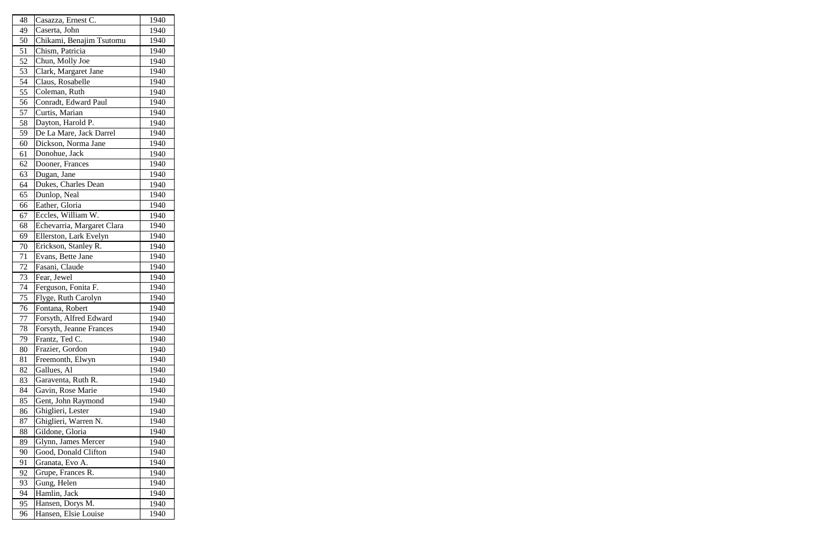| 48 | Casazza, Ernest C.         | 1940 |
|----|----------------------------|------|
| 49 | Caserta, John              | 1940 |
| 50 | Chikami, Benajim Tsutomu   | 1940 |
| 51 | Chism, Patricia            | 1940 |
| 52 | Chun, Molly Joe            | 1940 |
| 53 | Clark, Margaret Jane       | 1940 |
| 54 | Claus, Rosabelle           | 1940 |
| 55 | Coleman, Ruth              | 1940 |
| 56 | Conradt, Edward Paul       | 1940 |
| 57 | Curtis, Marian             | 1940 |
| 58 | Dayton, Harold P.          | 1940 |
| 59 | De La Mare, Jack Darrel    | 1940 |
| 60 | Dickson, Norma Jane        | 1940 |
| 61 | Donohue, Jack              | 1940 |
| 62 | Dooner, Frances            | 1940 |
| 63 | Dugan, Jane                | 1940 |
| 64 | Dukes, Charles Dean        | 1940 |
| 65 | Dunlop, Neal               | 1940 |
| 66 | Eather, Gloria             | 1940 |
| 67 | Eccles, William W.         | 1940 |
| 68 | Echevarria, Margaret Clara | 1940 |
| 69 | Ellerston, Lark Evelyn     | 1940 |
| 70 | Erickson, Stanley R.       | 1940 |
| 71 | Evans, Bette Jane          | 1940 |
| 72 | Fasani, Claude             | 1940 |
| 73 | Fear, Jewel                | 1940 |
| 74 | Ferguson, Fonita F.        | 1940 |
| 75 | Flyge, Ruth Carolyn        | 1940 |
| 76 | Fontana, Robert            | 1940 |
| 77 | Forsyth, Alfred Edward     | 1940 |
| 78 | Forsyth, Jeanne Frances    | 1940 |
| 79 | Frantz, Ted C.             | 1940 |
| 80 | Frazier, Gordon            | 1940 |
| 81 | Freemonth, Elwyn           | 1940 |
| 82 | Gallues, Al                | 1940 |
| 83 | Garaventa, Ruth R.         | 1940 |
| 84 | Gavin, Rose Marie          | 1940 |
| 85 | Gent, John Raymond         | 1940 |
| 86 | Ghiglieri, Lester          | 1940 |
| 87 | Ghiglieri, Warren N.       | 1940 |
| 88 | Gildone, Gloria            | 1940 |
| 89 | Glynn, James Mercer        | 1940 |
| 90 | Good, Donald Clifton       | 1940 |
| 91 | Granata, Evo A.            | 1940 |
| 92 | Grupe, Frances R.          | 1940 |
| 93 | Gung, Helen                | 1940 |
| 94 | Hamlin, Jack               | 1940 |
| 95 | Hansen, Dorys M.           | 1940 |
| 96 | Hansen, Elsie Louise       | 1940 |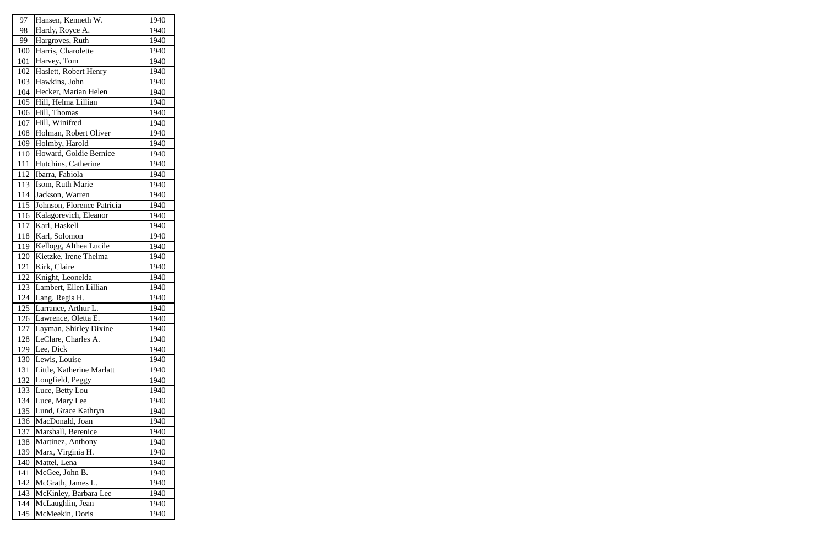| 97  | Hansen, Kenneth W.         | 1940 |
|-----|----------------------------|------|
| 98  | Hardy, Royce A.            | 1940 |
| 99  | Hargroves, Ruth            | 1940 |
| 100 | Harris, Charolette         | 1940 |
| 101 | Harvey, Tom                | 1940 |
| 102 | Haslett, Robert Henry      | 1940 |
| 103 | Hawkins, John              | 1940 |
| 104 | Hecker, Marian Helen       | 1940 |
| 105 | Hill, Helma Lillian        | 1940 |
| 106 | Hill, Thomas               | 1940 |
| 107 | Hill, Winifred             | 1940 |
| 108 | Holman, Robert Oliver      | 1940 |
| 109 | Holmby, Harold             | 1940 |
| 110 | Howard, Goldie Bernice     | 1940 |
| 111 | Hutchins, Catherine        | 1940 |
| 112 | Ibarra, Fabiola            | 1940 |
| 113 | Isom, Ruth Marie           | 1940 |
| 114 | Jackson, Warren            | 1940 |
| 115 | Johnson, Florence Patricia | 1940 |
| 116 | Kalagorevich, Eleanor      | 1940 |
| 117 | Karl, Haskell              | 1940 |
| 118 | Karl, Solomon              | 1940 |
| 119 | Kellogg, Althea Lucile     | 1940 |
| 120 | Kietzke, Irene Thelma      | 1940 |
| 121 | Kirk, Claire               | 1940 |
| 122 | Knight, Leonelda           | 1940 |
| 123 | Lambert, Ellen Lillian     | 1940 |
| 124 | Lang, Regis H.             | 1940 |
| 125 | Larrance, Arthur L.        | 1940 |
| 126 | Lawrence, Oletta E.        | 1940 |
| 127 | Layman, Shirley Dixine     | 1940 |
| 128 | LeClare, Charles A.        | 1940 |
| 129 | Lee, Dick                  | 1940 |
| 130 | Lewis, Louise              | 1940 |
| 131 | Little, Katherine Marlatt  | 1940 |
| 132 | Longfield, Peggy           | 1940 |
| 133 | Luce, Betty Lou            | 1940 |
| 134 | Luce, Mary Lee             | 1940 |
| 135 | Lund, Grace Kathryn        | 1940 |
| 136 | MacDonald, Joan            | 1940 |
| 137 | Marshall, Berenice         | 1940 |
| 138 | Martinez, Anthony          | 1940 |
| 139 | Marx, Virginia H.          | 1940 |
| 140 | Mattel, Lena               | 1940 |
| 141 | McGee, John B.             | 1940 |
| 142 | McGrath, James L.          | 1940 |
| 143 | McKinley, Barbara Lee      | 1940 |
| 144 | McLaughlin, Jean           | 1940 |
| 145 | McMeekin, Doris            | 1940 |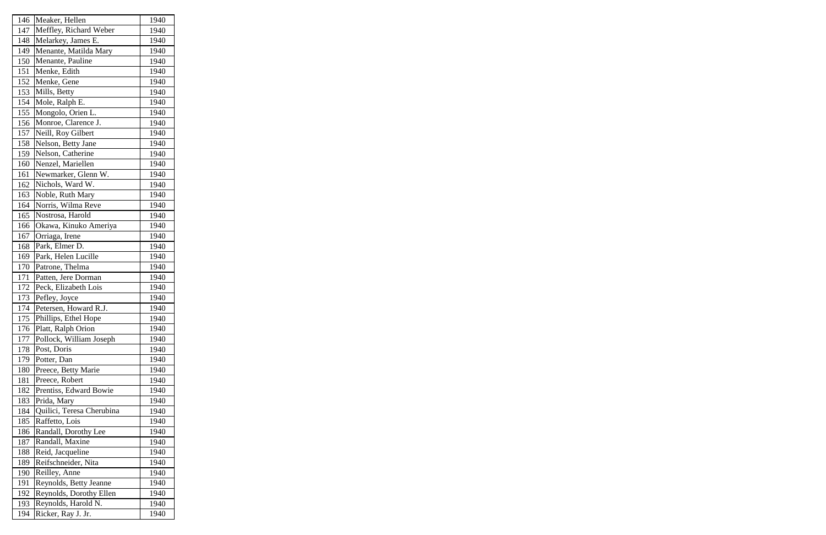| 146 | Meaker, Hellen            | 1940 |
|-----|---------------------------|------|
| 147 | Meffley, Richard Weber    | 1940 |
| 148 | Melarkey, James E.        | 1940 |
| 149 | Menante, Matilda Mary     | 1940 |
| 150 | Menante, Pauline          | 1940 |
| 151 | Menke, Edith              | 1940 |
| 152 | Menke, Gene               | 1940 |
| 153 | Mills, Betty              | 1940 |
| 154 | Mole, Ralph E.            | 1940 |
| 155 | Mongolo, Orien L.         | 1940 |
| 156 | Monroe, Clarence J.       | 1940 |
| 157 | Neill, Roy Gilbert        | 1940 |
| 158 | Nelson, Betty Jane        | 1940 |
| 159 | Nelson, Catherine         | 1940 |
| 160 | Nenzel, Mariellen         | 1940 |
| 161 | Newmarker, Glenn W.       | 1940 |
| 162 | Nichols, Ward W.          | 1940 |
| 163 | Noble, Ruth Mary          | 1940 |
| 164 | Norris, Wilma Reve        | 1940 |
| 165 | Nostrosa, Harold          | 1940 |
| 166 | Okawa, Kinuko Ameriya     | 1940 |
| 167 | Orriaga, Irene            | 1940 |
| 168 | Park, Elmer D.            | 1940 |
| 169 | Park, Helen Lucille       | 1940 |
| 170 | Patrone, Thelma           | 1940 |
| 171 | Patten, Jere Dorman       | 1940 |
| 172 | Peck, Elizabeth Lois      | 1940 |
| 173 | Pefley, Joyce             | 1940 |
| 174 | Petersen, Howard R.J.     | 1940 |
| 175 | Phillips, Ethel Hope      | 1940 |
| 176 | Platt, Ralph Orion        | 1940 |
| 177 | Pollock, William Joseph   | 1940 |
| 178 | Post, Doris               | 1940 |
| 179 | Potter, Dan               | 1940 |
| 180 | Preece, Betty Marie       | 1940 |
| 181 | Preece, Robert            | 1940 |
| 182 | Prentiss, Edward Bowie    | 1940 |
| 183 | Prida, Mary               | 1940 |
| 184 | Quilici, Teresa Cherubina | 1940 |
| 185 | Raffetto, Lois            | 1940 |
| 186 | Randall, Dorothy Lee      | 1940 |
| 187 | Randall, Maxine           | 1940 |
| 188 | Reid, Jacqueline          | 1940 |
| 189 | Reifschneider, Nita       | 1940 |
| 190 | Reilley, Anne             | 1940 |
| 191 | Reynolds, Betty Jeanne    | 1940 |
| 192 | Reynolds, Dorothy Ellen   | 1940 |
| 193 | Reynolds, Harold N.       | 1940 |
| 194 | Ricker, Ray J. Jr.        | 1940 |